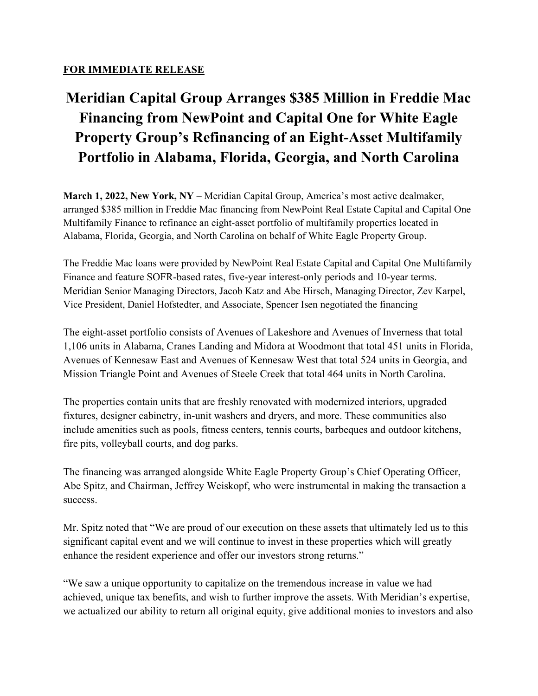## FOR IMMEDIATE RELEASE

## Meridian Capital Group Arranges \$385 Million in Freddie Mac Financing from NewPoint and Capital One for White Eagle Property Group's Refinancing of an Eight-Asset Multifamily Portfolio in Alabama, Florida, Georgia, and North Carolina

March 1, 2022, New York,  $NY - Meridian$  Capital Group, America's most active dealmaker, arranged \$385 million in Freddie Mac financing from NewPoint Real Estate Capital and Capital One Multifamily Finance to refinance an eight-asset portfolio of multifamily properties located in Alabama, Florida, Georgia, and North Carolina on behalf of White Eagle Property Group.

The Freddie Mac loans were provided by NewPoint Real Estate Capital and Capital One Multifamily Finance and feature SOFR-based rates, five-year interest-only periods and 10-year terms. Meridian Senior Managing Directors, Jacob Katz and Abe Hirsch, Managing Director, Zev Karpel, Vice President, Daniel Hofstedter, and Associate, Spencer Isen negotiated the financing

The eight-asset portfolio consists of Avenues of Lakeshore and Avenues of Inverness that total 1,106 units in Alabama, Cranes Landing and Midora at Woodmont that total 451 units in Florida, Avenues of Kennesaw East and Avenues of Kennesaw West that total 524 units in Georgia, and Mission Triangle Point and Avenues of Steele Creek that total 464 units in North Carolina.

The properties contain units that are freshly renovated with modernized interiors, upgraded fixtures, designer cabinetry, in-unit washers and dryers, and more. These communities also include amenities such as pools, fitness centers, tennis courts, barbeques and outdoor kitchens, fire pits, volleyball courts, and dog parks.

The financing was arranged alongside White Eagle Property Group's Chief Operating Officer, Abe Spitz, and Chairman, Jeffrey Weiskopf, who were instrumental in making the transaction a success.

Mr. Spitz noted that "We are proud of our execution on these assets that ultimately led us to this significant capital event and we will continue to invest in these properties which will greatly enhance the resident experience and offer our investors strong returns."

"We saw a unique opportunity to capitalize on the tremendous increase in value we had achieved, unique tax benefits, and wish to further improve the assets. With Meridian's expertise, we actualized our ability to return all original equity, give additional monies to investors and also